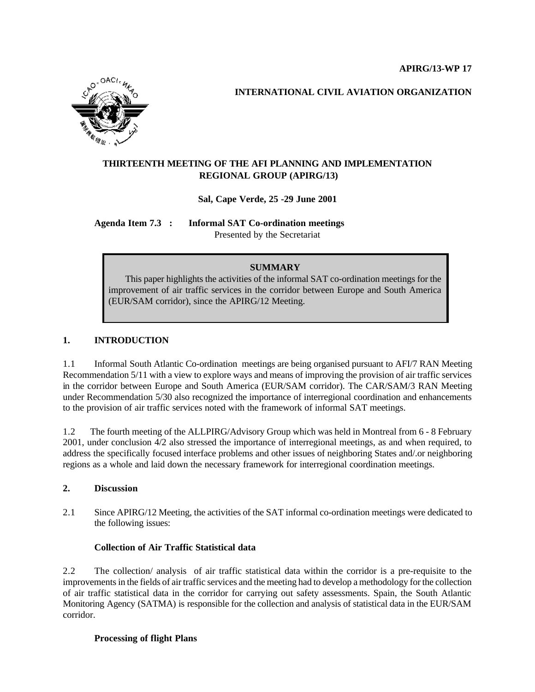

 **INTERNATIONAL CIVIL AVIATION ORGANIZATION**

# **THIRTEENTH MEETING OF THE AFI PLANNING AND IMPLEMENTATION REGIONAL GROUP (APIRG/13)**

## **Sal, Cape Verde, 25 -29 June 2001**

**Agenda Item 7.3 : Informal SAT Co-ordination meetings** Presented by the Secretariat

## **SUMMARY**

 This paper highlights the activities of the informal SAT co-ordination meetings for the improvement of air traffic services in the corridor between Europe and South America (EUR/SAM corridor), since the APIRG/12 Meeting.

## **1. INTRODUCTION**

1.1 Informal South Atlantic Co-ordination meetings are being organised pursuant to AFI/7 RAN Meeting Recommendation 5/11 with a view to explore ways and means of improving the provision of air traffic services in the corridor between Europe and South America (EUR/SAM corridor). The CAR/SAM/3 RAN Meeting under Recommendation 5/30 also recognized the importance of interregional coordination and enhancements to the provision of air traffic services noted with the framework of informal SAT meetings.

1.2 The fourth meeting of the ALLPIRG/Advisory Group which was held in Montreal from 6 - 8 February 2001, under conclusion 4/2 also stressed the importance of interregional meetings, as and when required, to address the specifically focused interface problems and other issues of neighboring States and/.or neighboring regions as a whole and laid down the necessary framework for interregional coordination meetings.

#### **2. Discussion**

2.1 Since APIRG/12 Meeting, the activities of the SAT informal co-ordination meetings were dedicated to the following issues:

#### **Collection of Air Traffic Statistical data**

2.2 The collection/ analysis of air traffic statistical data within the corridor is a pre-requisite to the improvements in the fields of air traffic services and the meeting had to develop a methodology for the collection of air traffic statistical data in the corridor for carrying out safety assessments. Spain, the South Atlantic Monitoring Agency (SATMA) is responsible for the collection and analysis of statistical data in the EUR/SAM corridor.

#### **Processing of flight Plans**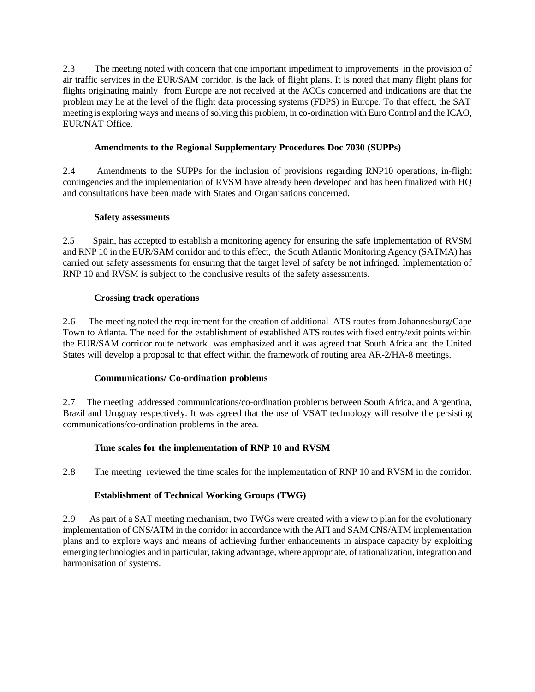2.3 The meeting noted with concern that one important impediment to improvements in the provision of air traffic services in the EUR/SAM corridor, is the lack of flight plans. It is noted that many flight plans for flights originating mainly from Europe are not received at the ACCs concerned and indications are that the problem may lie at the level of the flight data processing systems (FDPS) in Europe. To that effect, the SAT meeting is exploring ways and means of solving this problem, in co-ordination with Euro Control and the ICAO, EUR/NAT Office.

## **Amendments to the Regional Supplementary Procedures Doc 7030 (SUPPs)**

2.4 Amendments to the SUPPs for the inclusion of provisions regarding RNP10 operations, in-flight contingencies and the implementation of RVSM have already been developed and has been finalized with HQ and consultations have been made with States and Organisations concerned.

#### **Safety assessments**

2.5 Spain, has accepted to establish a monitoring agency for ensuring the safe implementation of RVSM and RNP 10 in the EUR/SAM corridor and to this effect, the South Atlantic Monitoring Agency (SATMA) has carried out safety assessments for ensuring that the target level of safety be not infringed. Implementation of RNP 10 and RVSM is subject to the conclusive results of the safety assessments.

## **Crossing track operations**

2.6 The meeting noted the requirement for the creation of additional ATS routes from Johannesburg/Cape Town to Atlanta. The need for the establishment of established ATS routes with fixed entry/exit points within the EUR/SAM corridor route network was emphasized and it was agreed that South Africa and the United States will develop a proposal to that effect within the framework of routing area AR-2/HA-8 meetings.

#### **Communications/ Co-ordination problems**

2.7 The meeting addressed communications/co-ordination problems between South Africa, and Argentina, Brazil and Uruguay respectively. It was agreed that the use of VSAT technology will resolve the persisting communications/co-ordination problems in the area.

## **Time scales for the implementation of RNP 10 and RVSM**

2.8 The meeting reviewed the time scales for the implementation of RNP 10 and RVSM in the corridor.

## **Establishment of Technical Working Groups (TWG)**

2.9 As part of a SAT meeting mechanism, two TWGs were created with a view to plan for the evolutionary implementation of CNS/ATM in the corridor in accordance with the AFI and SAM CNS/ATM implementation plans and to explore ways and means of achieving further enhancements in airspace capacity by exploiting emerging technologies and in particular, taking advantage, where appropriate, of rationalization, integration and harmonisation of systems.